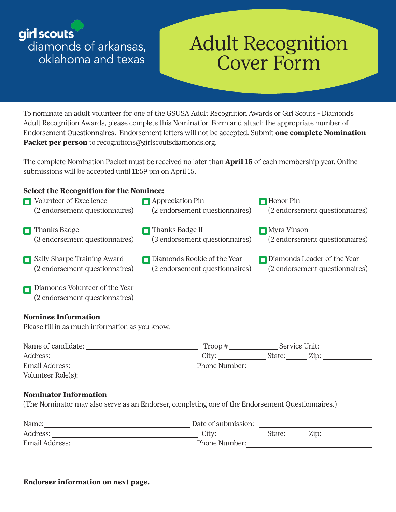girl scouts

diamonds of arkansas, oklahoma and texas

# Adult Recognition Cover Form

To nominate an adult volunteer for one of the GSUSA Adult Recognition Awards or Girl Scouts - Diamonds Adult Recognition Awards, please complete this Nomination Form and attach the appropriate number of Endorsement Questionnaires. Endorsement letters will not be accepted. Submit **one complete Nomination Packet per person** to recognitions@girlscoutsdiamonds.org.

The complete Nomination Packet must be received no later than **April 15** of each membership year. Online submissions will be accepted until 11:59 pm on April 15.

## **Select the Recognition for the Nominee:**



#### **Nominee Information**

Please fill in as much information as you know.

| Name of candidate: | Troop #           |        | Service Unit: |  |
|--------------------|-------------------|--------|---------------|--|
| Address:           | City <sup>.</sup> | State: | Zip:          |  |
| Email Address:     | Phone Number:     |        |               |  |
| Volunteer Role(s): |                   |        |               |  |

## **Nominator Information**

(The Nominator may also serve as an Endorser, completing one of the Endorsement Questionnaires.)

| Name:          | Date of submission: |        |      |
|----------------|---------------------|--------|------|
| Address:       | City <sup>.</sup>   | State: | Zip: |
| Email Address: | Phone Number:       |        |      |

#### **Endorser information on next page.**